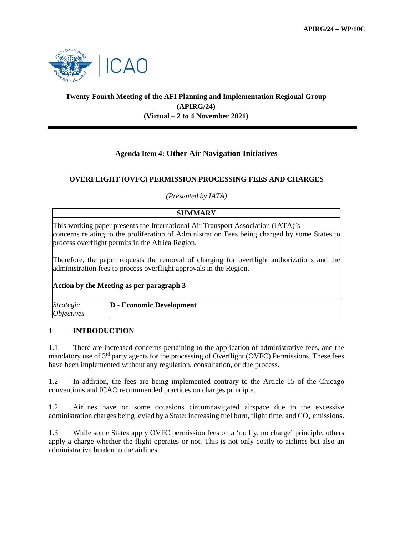

# **Twenty-Fourth Meeting of the AFI Planning and Implementation Regional Group (APIRG/24) (Virtual – 2 to 4 November 2021)**

# **Agenda Item 4: Other Air Navigation Initiatives**

## **OVERFLIGHT (OVFC) PERMISSION PROCESSING FEES AND CHARGES**

*(Presented by IATA)*

### **SUMMARY**

This working paper presents the International Air Transport Association (IATA)'s concerns relating to the proliferation of Administration Fees being charged by some States to process overflight permits in the Africa Region.

Therefore, the paper requests the removal of charging for overflight authorizations and the administration fees to process overflight approvals in the Region.

#### **Action by the Meeting as per paragraph 3**

| <i>Strategic</i>  | <b>D</b> - Economic Development |
|-------------------|---------------------------------|
| <i>Objectives</i> |                                 |

## **1 INTRODUCTION**

1.1 There are increased concerns pertaining to the application of administrative fees, and the mandatory use of 3rd party agents for the processing of Overflight (OVFC) Permissions. These fees have been implemented without any regulation, consultation, or due process.

1.2 In addition, the fees are being implemented contrary to the Article 15 of the Chicago conventions and ICAO recommended practices on charges principle.

1.2 Airlines have on some occasions circumnavigated airspace due to the excessive administration charges being levied by a State: increasing fuel burn, flight time, and  $CO<sub>2</sub>$  emissions.

1.3 While some States apply OVFC permission fees on a 'no fly, no charge' principle, others apply a charge whether the flight operates or not. This is not only costly to airlines but also an administrative burden to the airlines.